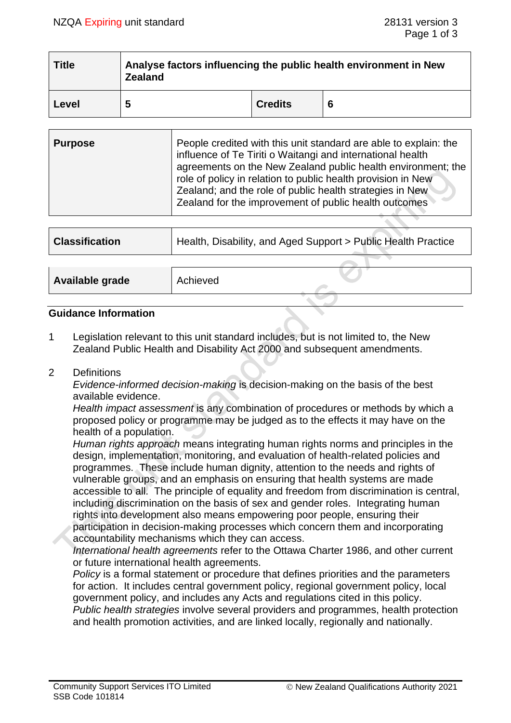| <b>Title</b> | Analyse factors influencing the public health environment in New<br><b>Zealand</b> |                |   |  |
|--------------|------------------------------------------------------------------------------------|----------------|---|--|
| Level        | 5                                                                                  | <b>Credits</b> | 6 |  |

| <b>Purpose</b> | People credited with this unit standard are able to explain: the<br>influence of Te Tiriti o Waitangi and international health<br>agreements on the New Zealand public health environment; the<br>role of policy in relation to public health provision in New<br>Zealand; and the role of public health strategies in New<br>Zealand for the improvement of public health outcomes |
|----------------|-------------------------------------------------------------------------------------------------------------------------------------------------------------------------------------------------------------------------------------------------------------------------------------------------------------------------------------------------------------------------------------|
|                |                                                                                                                                                                                                                                                                                                                                                                                     |

| Health, Disability, and Aged Support > Public Health Practice |  |  |
|---------------------------------------------------------------|--|--|
|                                                               |  |  |
| Achieved                                                      |  |  |
|                                                               |  |  |

### **Guidance Information**

1 Legislation relevant to this unit standard includes, but is not limited to, the New Zealand Public Health and Disability Act 2000 and subsequent amendments.

### 2 Definitions

*Evidence-informed decision-making* is decision-making on the basis of the best available evidence.

*Health impact assessment* is any combination of procedures or methods by which a proposed policy or programme may be judged as to the effects it may have on the health of a population.

*Human rights approach* means integrating human rights norms and principles in the design, implementation, monitoring, and evaluation of health-related policies and programmes. These include human dignity, attention to the needs and rights of vulnerable groups, and an emphasis on ensuring that health systems are made accessible to all. The principle of equality and freedom from discrimination is central, including discrimination on the basis of sex and gender roles. Integrating human rights into development also means empowering poor people, ensuring their participation in decision-making processes which concern them and incorporating accountability mechanisms which they can access.

*International health agreements* refer to the Ottawa Charter 1986, and other current or future international health agreements.

*Policy* is a formal statement or procedure that defines priorities and the parameters for action. It includes central government policy, regional government policy, local government policy, and includes any Acts and regulations cited in this policy. *Public health strategies* involve several providers and programmes, health protection and health promotion activities, and are linked locally, regionally and nationally.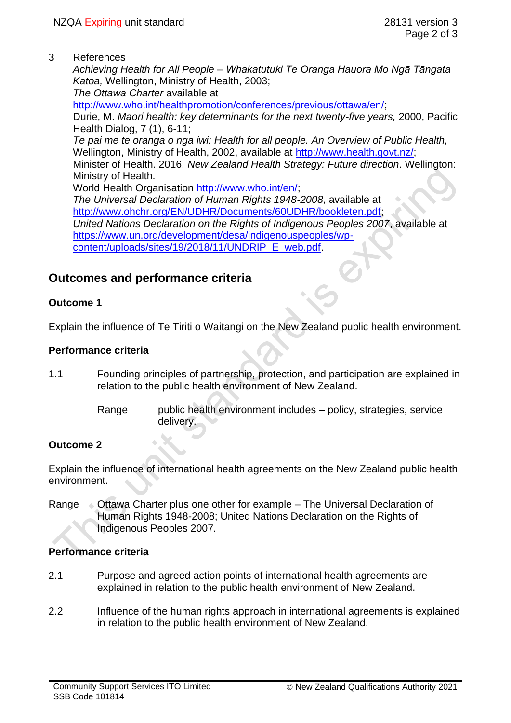3 References

*Achieving Health for All People* – *Whakatutuki Te Oranga Hauora Mo Ngā Tāngata Katoa,* Wellington, Ministry of Health, 2003;

*The Ottawa Charter* available at

[http://www.who.int/healthpromotion/conferences/previous/ottawa/en/;](http://www.who.int/healthpromotion/conferences/previous/ottawa/en/)

Durie, M. *Maori health: key determinants for the next twenty-five years,* 2000, Pacific Health Dialog, 7 (1), 6-11;

*Te pai me te oranga o nga iwi: Health for all people. An Overview of Public Health,* Wellington, Ministry of Health, 2002, available at [http://www.health.govt.nz/;](http://www.health.govt.nz/)

Minister of Health. 2016. *New Zealand Health Strategy: Future direction*. Wellington: Ministry of Health.

World Health Organisation [http://www.who.int/en/;](http://www.who.int/en/)

*The Universal Declaration of Human Rights 1948-2008*, available at [http://www.ohchr.org/EN/UDHR/Documents/60UDHR/bookleten.pdf;](http://www.ohchr.org/EN/UDHR/Documents/60UDHR/bookleten.pdf)

*United Nations Declaration on the Rights of Indigenous Peoples 2007*, available at [https://www.un.org/development/desa/indigenouspeoples/wp-](https://www.un.org/development/desa/indigenouspeoples/wp-content/uploads/sites/19/2018/11/UNDRIP_E_web.pdf)

[content/uploads/sites/19/2018/11/UNDRIP\\_E\\_web.pdf.](https://www.un.org/development/desa/indigenouspeoples/wp-content/uploads/sites/19/2018/11/UNDRIP_E_web.pdf)

# **Outcomes and performance criteria**

# **Outcome 1**

Explain the influence of Te Tiriti o Waitangi on the New Zealand public health environment.

# **Performance criteria**

- 1.1 Founding principles of partnership, protection, and participation are explained in relation to the public health environment of New Zealand.
	- Range public health environment includes policy, strategies, service delivery.

# **Outcome 2**

Explain the influence of international health agreements on the New Zealand public health environment.

Range Ottawa Charter plus one other for example – The Universal Declaration of Human Rights 1948-2008; United Nations Declaration on the Rights of Indigenous Peoples 2007.

# **Performance criteria**

- 2.1 Purpose and agreed action points of international health agreements are explained in relation to the public health environment of New Zealand.
- 2.2 Influence of the human rights approach in international agreements is explained in relation to the public health environment of New Zealand.